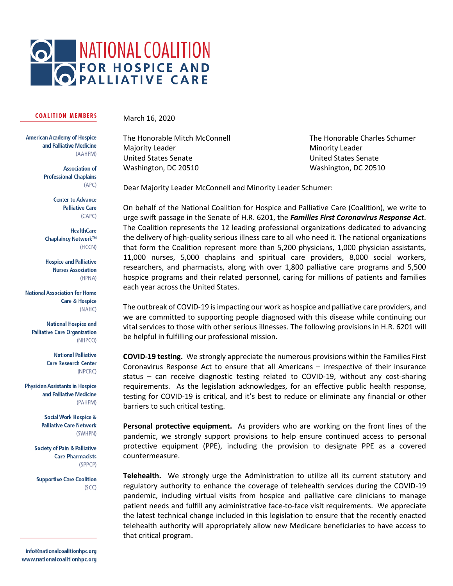

## **COALITION MEMBERS**

March 16, 2020

**American Academy of Hospice** and Palliative Medicine (AAHPM)

> **Association of Professional Chaplains**  $(APC)$

> > **Center to Advance Palliative Care**  $(CAPC)$

**HealthCare** Chaplaincy Network™ (HCCN)

**Hospice and Palliative Nurses Association** (HPNA)

**National Association for Home Care & Hospice** (NAHC)

**National Hospice and Palliative Care Organization** (NHPCO)

> **National Palliative Care Research Center** (NPCRC)

**Physician Assistants in Hospice** and Palliative Medicine (PAHPM)

> **Social Work Hospice & Palliative Care Network** (SWHPN)

**Society of Pain & Palliative Care Pharmacists** (SPPCP)

**Supportive Care Coalition**  $(SCT)$ 

info@nationalcoalitionhpc.org www.nationalcoalitionhpc.org

Majority Leader **Minority Leader** Minority Leader United States Senate United States Senate Washington, DC 20510 Washington, DC 20510

The Honorable Mitch McConnell The Honorable Charles Schumer

Dear Majority Leader McConnell and Minority Leader Schumer:

On behalf of the National Coalition for Hospice and Palliative Care (Coalition), we write to urge swift passage in the Senate of H.R. 6201, the *Families First Coronavirus Response Act*. The Coalition represents the 12 leading professional organizations dedicated to advancing the delivery of high-quality serious illness care to all who need it. The national organizations that form the Coalition represent more than 5,200 physicians, 1,000 physician assistants, 11,000 nurses, 5,000 chaplains and spiritual care providers, 8,000 social workers, researchers, and pharmacists, along with over 1,800 palliative care programs and 5,500 hospice programs and their related personnel, caring for millions of patients and families each year across the United States.

The outbreak of COVID-19 is impacting our work as hospice and palliative care providers, and we are committed to supporting people diagnosed with this disease while continuing our vital services to those with other serious illnesses. The following provisions in H.R. 6201 will be helpful in fulfilling our professional mission.

**COVID-19 testing.** We strongly appreciate the numerous provisions within the Families First Coronavirus Response Act to ensure that all Americans – irrespective of their insurance status – can receive diagnostic testing related to COVID-19, without any cost-sharing requirements. As the legislation acknowledges, for an effective public health response, testing for COVID-19 is critical, and it's best to reduce or eliminate any financial or other barriers to such critical testing.

**Personal protective equipment.** As providers who are working on the front lines of the pandemic, we strongly support provisions to help ensure continued access to personal protective equipment (PPE), including the provision to designate PPE as a covered countermeasure.

**Telehealth.** We strongly urge the Administration to utilize all its current statutory and regulatory authority to enhance the coverage of telehealth services during the COVID-19 pandemic, including virtual visits from hospice and palliative care clinicians to manage patient needs and fulfill any administrative face-to-face visit requirements. We appreciate the latest technical change included in this legislation to ensure that the recently enacted telehealth authority will appropriately allow new Medicare beneficiaries to have access to that critical program.